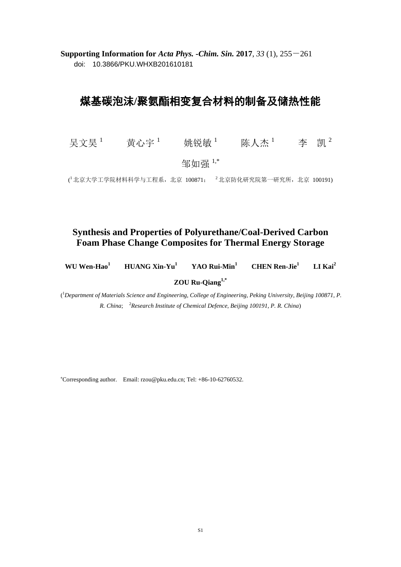**Supporting Information for** *Acta Phys. -Chim. Sin.* **2017**, *33* (1), 255-261 doi: 10.3866/PKU.WHXB201610181

## 煤基碳泡沫**/**聚氨酯相变复合材料的制备及储热性能

吴文昊 1 黄心宇 1 姚锐敏 1 陈人杰 1 李 凯 2

邹如强 1,\*

( 北京大学工学院材料科学与工程系,北京 100871; <sup>2</sup> 北京防化研究院第一研究所,北京 100191)

## **Synthesis and Properties of Polyurethane/Coal-Derived Carbon Foam Phase Change Composites for Thermal Energy Storage**

| <b>HUANG Xin-Yu<sup>1</sup></b><br>WU Wen-Hao <sup>1</sup> | YAO Rui-Min <sup>1</sup> | <b>CHEN</b> Ren-Jie <sup>1</sup> | LI Kai $^2$ |
|------------------------------------------------------------|--------------------------|----------------------------------|-------------|
|------------------------------------------------------------|--------------------------|----------------------------------|-------------|

**ZOU Ru-Qiang1,\***

( <sup>1</sup>*Department of Materials Science and Engineering, College of Engineering, Peking University, Beijing 100871, P. R. China*; <sup>2</sup>*Research Institute of Chemical Defence, Beijing 100191, P. R. China*)

<sup>∗</sup>Corresponding author. Email: rzou@pku.edu.cn; Tel: +86-10-62760532.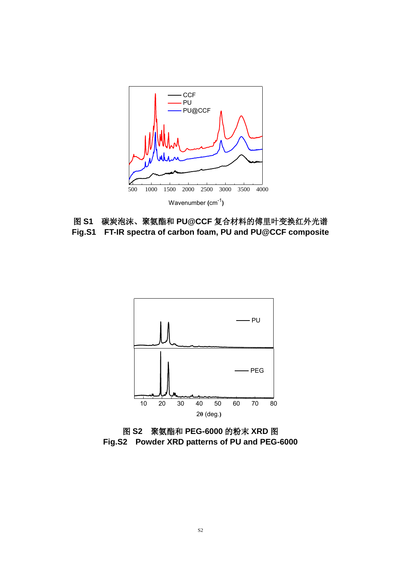

图 **S1** 碳炭泡沫、聚氨酯和 **PU@CCF** 复合材料的傅里叶变换红外光谱 **Fig.S1 FT-IR spectra of carbon foam, PU and PU@CCF composite**